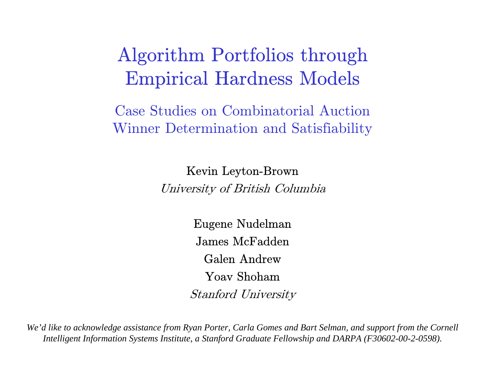#### Algorithm Portfolios through Empirical Hardness Models

Case Studies on Combinatorial Auction Winner Determination and Satisfiability

Kevin Leyto n-Brown

University of British Columbia

Eugene Nudelman James McFaddenGalen AndrewYoav ShohamStanford University

*We'd like to acknowledge assistance from Ryan Porter, Carla Gomes and Bart Selman, and support from the Cornell Intelligent Information Systems Institute, a Stanford G raduate Fellowship and DARPA (F30602-00-2-0598).*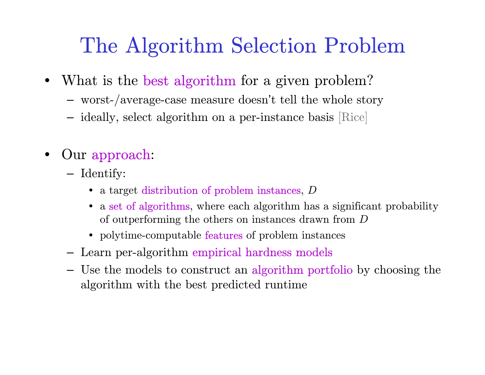# The Algorithm Selection Problem

- $\bullet$  What is the best algorithm for a given problem?
	- worst-/average-case measure doesn't tell the whole story
	- ideally, select algorithm on a per-insta nce basis [Rice]
- • Our approach:
	- Identify:
		- a target distribution of problem instances, D
		- a set of algorithms, where each algorithm has a significant probability of outperforming the others on instances drawn from  $D$
		- polytime-computable **features** of problem instances
	- Learn per-algorithm empirical hardness models
	- Use the models to construct an algorithm portfolio by choosing the algorithm with the best predicted runtime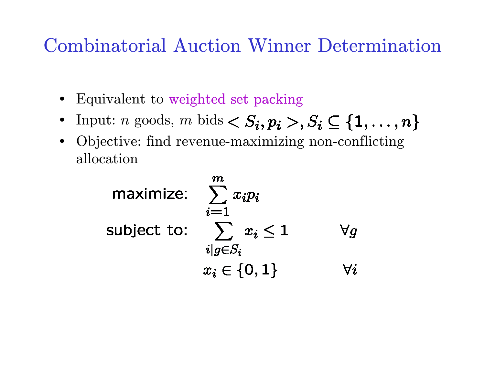#### Combinatorial Auction Winner Determination

- Equivalent to weighted set packing
- Input:  $n$  goods,  $m$  bids
- Objective: find revenue-maximizing non-conflicting allocation

maximize: 
$$
\sum_{i=1}^{m} x_i p_i
$$
  
subject to: 
$$
\sum_{i|g \in S_i} x_i \le 1 \qquad \forall g
$$

$$
x_i \in \{0, 1\} \qquad \forall i
$$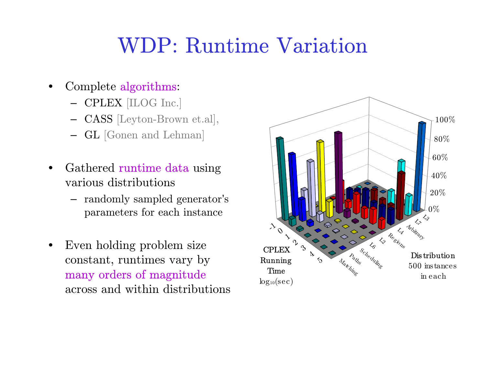## WDP: Runtime Variation

- • Complete algorithms:
	- CPLEX [ILOG Inc.]
	- CASS [Leyton-Brown et.al],
	- GL [Gonen and Lehman]
- •• Gathered runtime data using various distributions
	- randomly sampled generator'<sup>s</sup> parameters for each instance
- • Even holding problem size constant, runtimes vary by many orders of magnitude across and within distributions

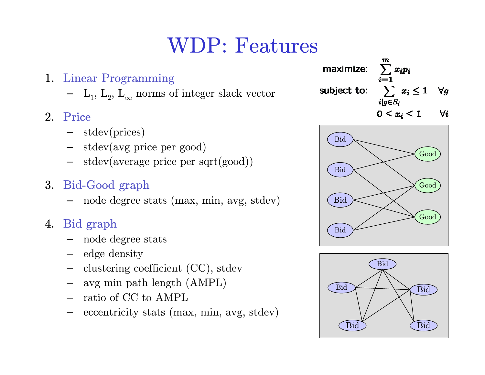# WDP: Features

- 1. Linear Programming
	- $\quad L_1^{},\, L_2^{},\, L_{\infty}^{}$  norms of integer slack vector
- 2. Price
	- stdev(prices)
	- stdev(avg price per good)
	- stdev(average price per sqrt(good))
- 3. Bid-Good graph
	- node degree stats (max, min, avg, stdev)
- 4. Bid graph
	- node degree stats
	- –edge density
	- clustering coefficient (CC), stdev
	- avg min path length (AMPL)
	- ratio of CC to AMPL
	- $\begin{aligned} & \quad \text{eccentricity stats (max, min, avg, stdev)} \end{aligned}$

 $\sum_{i=1} x_i p_i$ maximize:  $\sum \; \; x_i \leq 1$ subject to:  $\forall q$  $i|q{\in}S_i$  $\forall i$  $0 \leq x_i \leq 1$ 



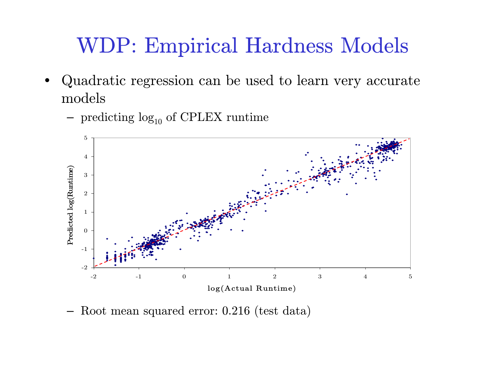## WDP: Empirical Hardness Models

- • Quadratic regression can be used to learn very accurate models
	- $-$  predicting  $log_{10}$  of CPLEX runtime



–Root mean squared error: 0.216 ( test data)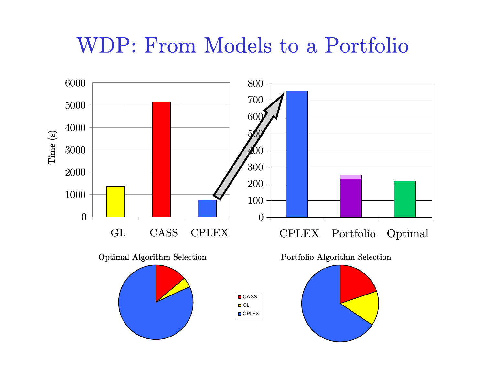## WDP: From Models to a Portfolio

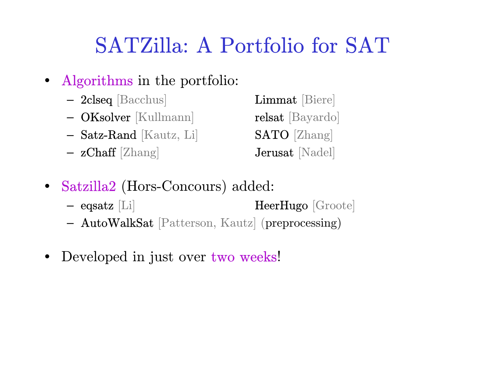# SATZilla: A Portfolio for SAT

- $\bullet$  Algorithms in the portfolio:
	- 2clseq [Bacchus] Limmat [Biere]
	- OKsolver [Kullmann] relsat [Bayardo]
	- $\textbf{- Satz-Rand} \,\,\text{[Kautz, Li]} \qquad \qquad \textbf{SATO} \,\,\text{[Zhang]}$
	- $-$  zChaff [Zhang]  $-$  Jerusat [Nadel]

- • Satzilla2 (Hors-Concours) added:
	- $-$  eqsatz  $|Li|$  $HeerHugo$  [Groote]
	- AutoWalkSat [Patterson, Kautz] (preprocessing)
- •Developed in just over two weeks!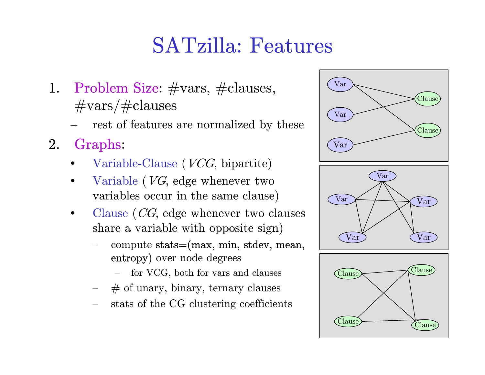## SATzilla: Features

- 1. Problem Size:  $\#vars$ ,  $\#classes$ ,  $\#\text{vars}/\#\text{clauses}$ 
	- rest of features are normalized by these
- 2. Graphs:
	- • $\bullet$  Variable-Clause (*VCG*, bipartite)
	- •• Variable  $(VG, \text{ edge whenever two})$ variables occur in the same clause)
	- •• Clause  $(CG,$  edge whenever two clauses sha re a variable with opposite sign)
		- compute stats=(max, min, stdev, mean, entropy) over node degrees
			- for VCG, both for vars and clauses
		- # of unary, binary, ternary clauses
		- stats of the CG clu stering coefficients



Clause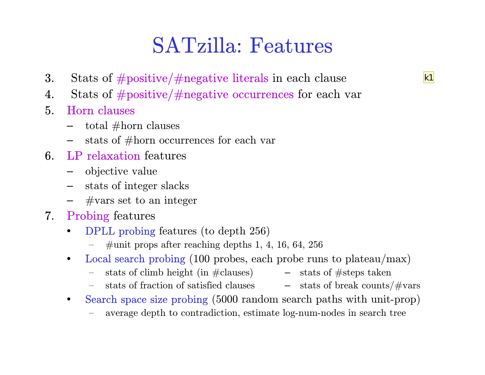#### SATzilla: Features

- 3. Stats of  $\#$  positive/ $\#$ negative literals in each clause
- 4.Stats of #positive/#negative occurrences for each var
- 5. Horn clauses
	- $-$  total  $\#\text{horn clauses}$
	- –stats of #horn occurrences for each var
- 6.  $L$ P relaxation features
	- objective valu e
	- stats of integer slacks
	- $-$  #vars set to an integer
- 7. Probing features
	- • DPLL probing features (to depth 256)
		- $\overline{\phantom{0}}$  $\#$ unit props after reaching depths 1, 4, 16, 64, 256
	- $\bullet$  Local search probing (100 probes, each probe runs to plateau/max)
		- stats of climb height (in  $\#\text{clauses}$ )  $-$  stats of  $\#\text{steps taken}$
		- stats of fraction of satisfied clauses  $\hskip1cm -$  stats of break counts/ $\#\text{vars}$
	- $\bullet$  Search space size probing (5000 random search paths with unit-prop)
		- average depth to contradiction, estimate log-num-nodes in search tree
- 
- 

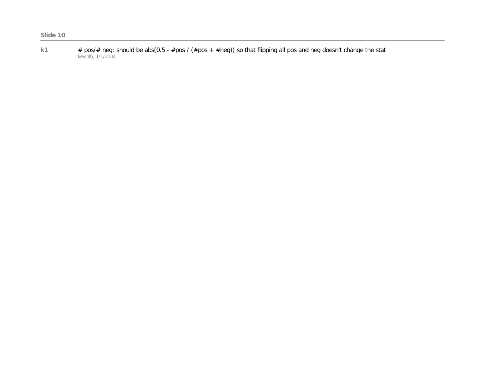**k1** # pos/# neg: should be abs(0.5 - #pos / (#pos + #neg)) so that flipping all pos and neg doesn't change the stat kevinlb, 1/1/2004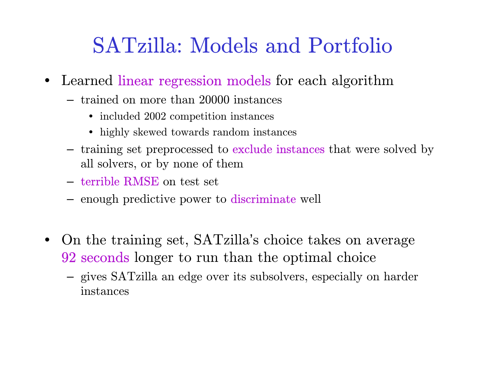## SATzilla: Models and Portfolio

- $\bullet$  Learned linear regression models for each algorithm
	- trained on more than 20000 instances
		- included 2002 competition instances
		- highly skewed towards random instances
	- training set preprocessed to **exclude instances** that were solved by all sol vers, or by none of them
	- terribl e RMSE on test set
	- enough predictive power to discriminate well
- •• On the training set, SATzilla's choice takes on average 92 seconds longer to run than the optimal choice
	- gives SATzilla an edge over its subsolvers, especially on harder instances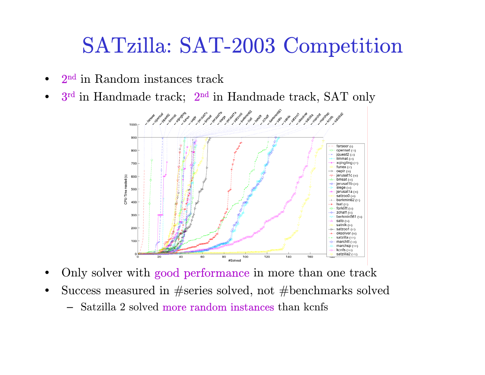## SATzilla: SAT-2003 Competition

- • $2<sup>nd</sup>$  in Random instances track
- • $3<sup>rd</sup>$  in Handmade track;  $2<sup>nd</sup>$  in Handmade track, SAT only



- •Only solver with good performance in more than one track
- • Success measured in #series solved, not #benchmarks solved
	- Satzilla 2 solved more random instances than kcnfs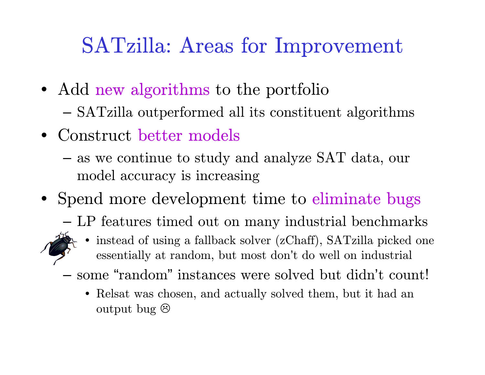# SATzilla: Areas for Improvement

- Add new algorithms to the portfolio –SATzilla outperformed all its constituent algorithms
- Construct better models
	- and the state of the as we continue to study and analyze SAT data, our model accuracy is increasing
- Spend more development time to eliminate bugs
	- –LP features timed out on many industrial benchmarks



- • instead of using a fallback solver (zChaff), SATzilla picked one essentially at random, but most don't do well on industrial
- some "random " instances wer e solved but didn't count!
	- Relsat was chosen, and actually solved them, but it had an output bug  $\otimes$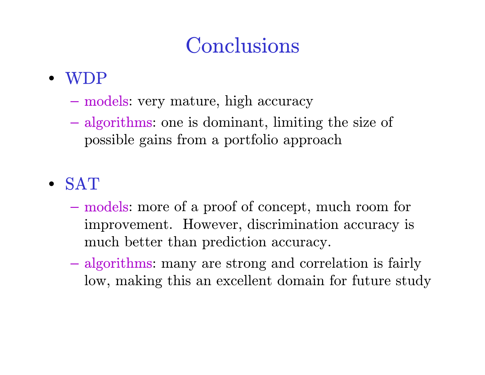## Conclusions

#### • WDP

- models: very mature, high accuracy
- algorithms: one is dominant, limiting the size of possible gains from a portfolio approach

#### • SAT

- **Hart Committee** – models: more of a proof of concept, much room for improvement. However, discrimination accuracy is much better than prediction accuracy.
- algorithms: many are strong and correlation is fairly low, making this an excellent domain for future study